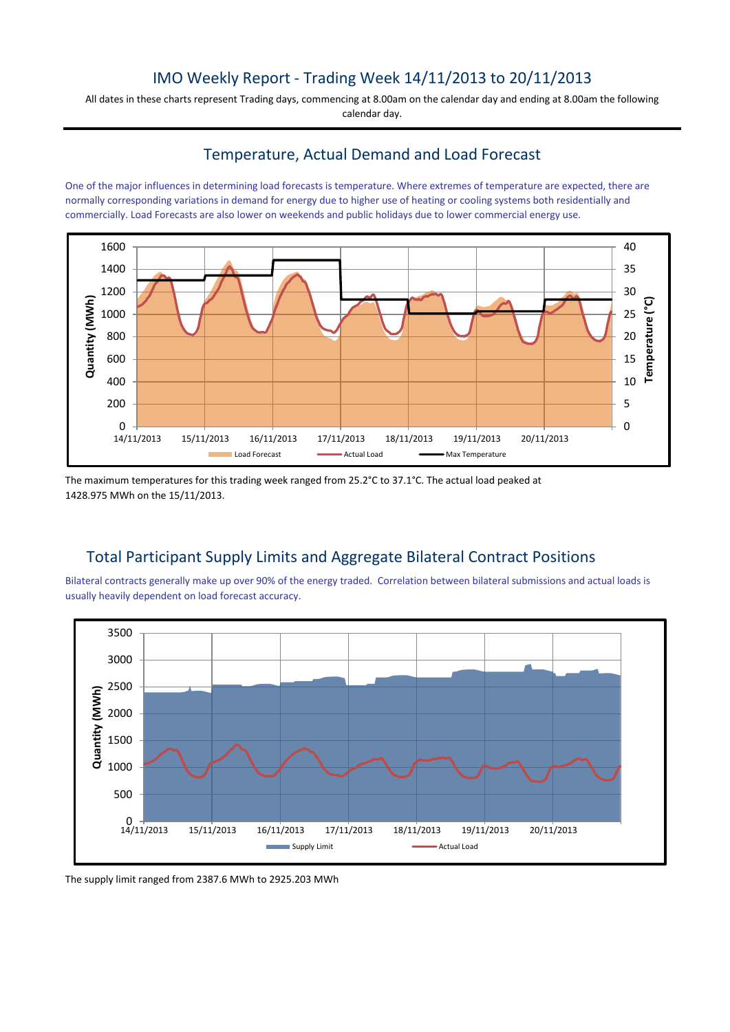# IMO Weekly Report - Trading Week 14/11/2013 to 20/11/2013

All dates in these charts represent Trading days, commencing at 8.00am on the calendar day and ending at 8.00am the following calendar day.

## Temperature, Actual Demand and Load Forecast

One of the major influences in determining load forecasts is temperature. Where extremes of temperature are expected, there are normally corresponding variations in demand for energy due to higher use of heating or cooling systems both residentially and commercially. Load Forecasts are also lower on weekends and public holidays due to lower commercial energy use.



The maximum temperatures for this trading week ranged from 25.2°C to 37.1°C. The actual load peaked at 1428.975 MWh on the 15/11/2013.

## Total Participant Supply Limits and Aggregate Bilateral Contract Positions

Bilateral contracts generally make up over 90% of the energy traded. Correlation between bilateral submissions and actual loads is usually heavily dependent on load forecast accuracy.



The supply limit ranged from 2387.6 MWh to 2925.203 MWh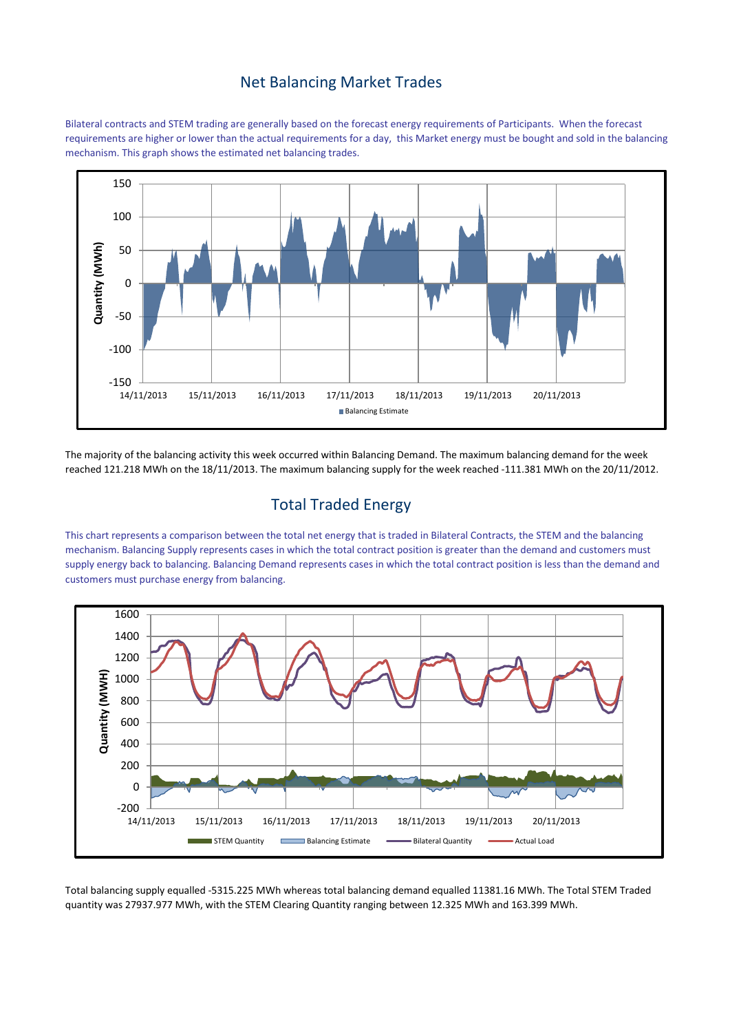#### Net Balancing Market Trades

Bilateral contracts and STEM trading are generally based on the forecast energy requirements of Participants. When the forecast requirements are higher or lower than the actual requirements for a day, this Market energy must be bought and sold in the balancing mechanism. This graph shows the estimated net balancing trades.



The majority of the balancing activity this week occurred within Balancing Demand. The maximum balancing demand for the week reached 121.218 MWh on the 18/11/2013. The maximum balancing supply for the week reached -111.381 MWh on the 20/11/2012.

## Total Traded Energy

This chart represents a comparison between the total net energy that is traded in Bilateral Contracts, the STEM and the balancing mechanism. Balancing Supply represents cases in which the total contract position is greater than the demand and customers must supply energy back to balancing. Balancing Demand represents cases in which the total contract position is less than the demand and customers must purchase energy from balancing.



Total balancing supply equalled -5315.225 MWh whereas total balancing demand equalled 11381.16 MWh. The Total STEM Traded quantity was 27937.977 MWh, with the STEM Clearing Quantity ranging between 12.325 MWh and 163.399 MWh.